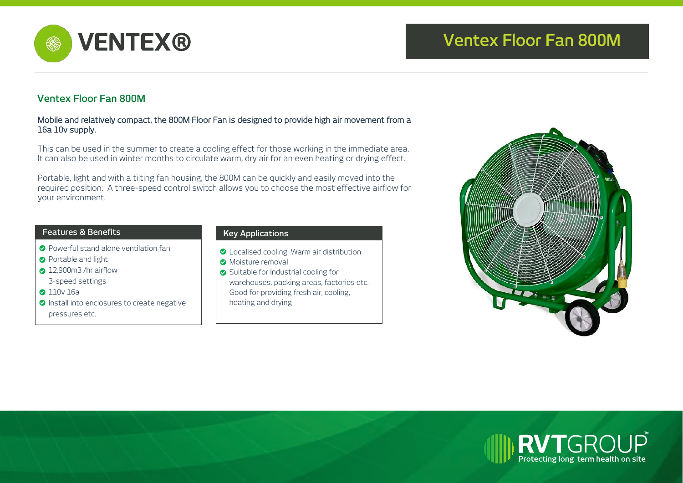



# **Ventex Floor Fan 800M**

#### Mobile and relatively compact, the 800M Floor Fan is designed to provide high air movement from a 16a 10v supply.

This can be used in the summer to create a cooling effect for those working in the immediate area. It can also be used in winter months to circulate warm, dry air for an even heating or drying effect.

Portable, light and with a tilting fan housing, the 800M can be quickly and easily moved into the required position. A three-speed control switch allows you to choose the most effective airflow for your environment.

### **Features & Benefits**

- Powerful stand alone ventilation fan
- **Portable and light**
- 2 12,900m3 /hr airflow
- 3-speed settings
- **2** 110v 16a
- **O** Install into enclosures to create negative pressures etc.

### **Key Applications**

- **O** Localised cooling Warm air distribution
- **O** Moisture removal
- Suitable for Industrial cooling for warehouses, packing areas, factories etc. Good for providing fresh air, cooling, heating and drying